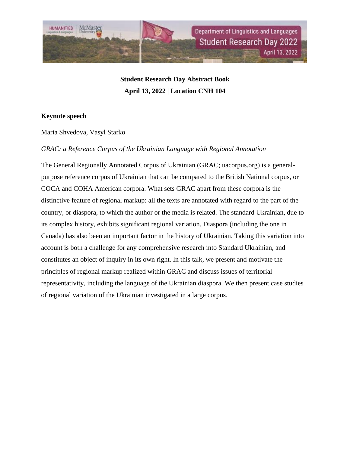

**Student Research Day Abstract Book April 13, 2022 | Location CNH 104**

# **Keynote speech**

Maria Shvedova, Vasyl Starko

# *GRAC: a Reference Corpus of the Ukrainian Language with Regional Annotation*

The General Regionally Annotated Corpus of Ukrainian (GRAC; uacorpus.org) is a generalpurpose reference corpus of Ukrainian that can be compared to the British National corpus, or COCA and COHA American corpora. What sets GRAC apart from these corpora is the distinctive feature of regional markup: all the texts are annotated with regard to the part of the country, or diaspora, to which the author or the media is related. The standard Ukrainian, due to its complex history, exhibits significant regional variation. Diaspora (including the one in Canada) has also been an important factor in the history of Ukrainian. Taking this variation into account is both a challenge for any comprehensive research into Standard Ukrainian, and constitutes an object of inquiry in its own right. In this talk, we present and motivate the principles of regional markup realized within GRAC and discuss issues of territorial representativity, including the language of the Ukrainian diaspora. We then present case studies of regional variation of the Ukrainian investigated in a large corpus.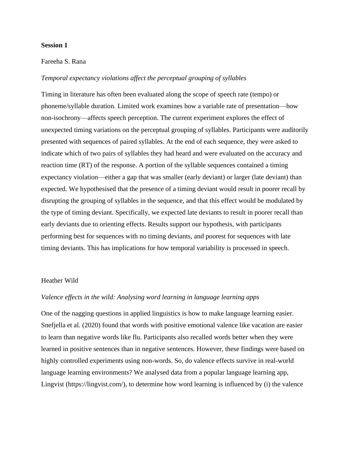# **Session 1**

### Fareeha S. Rana

# *Temporal expectancy violations affect the perceptual grouping of syllables*

Timing in literature has often been evaluated along the scope of speech rate (tempo) or phoneme/syllable duration. Limited work examines how a variable rate of presentation—how non-isochrony—affects speech perception. The current experiment explores the effect of unexpected timing variations on the perceptual grouping of syllables. Participants were auditorily presented with sequences of paired syllables. At the end of each sequence, they were asked to indicate which of two pairs of syllables they had heard and were evaluated on the accuracy and reaction time (RT) of the response. A portion of the syllable sequences contained a timing expectancy violation—either a gap that was smaller (early deviant) or larger (late deviant) than expected. We hypothesised that the presence of a timing deviant would result in poorer recall by disrupting the grouping of syllables in the sequence, and that this effect would be modulated by the type of timing deviant. Specifically, we expected late deviants to result in poorer recall than early deviants due to orienting effects. Results support our hypothesis, with participants performing best for sequences with no timing deviants, and poorest for sequences with late timing deviants. This has implications for how temporal variability is processed in speech.

### Heather Wild

# *Valence effects in the wild: Analysing word learning in language learning apps*

One of the nagging questions in applied linguistics is how to make language learning easier. Snefjella et al. (2020) found that words with positive emotional valence like vacation are easier to learn than negative words like flu. Participants also recalled words better when they were learned in positive sentences than in negative sentences. However, these findings were based on highly controlled experiments using non-words. So, do valence effects survive in real-world language learning environments? We analysed data from a popular language learning app, Lingvist (https://lingvist.com/), to determine how word learning is influenced by (i) the valence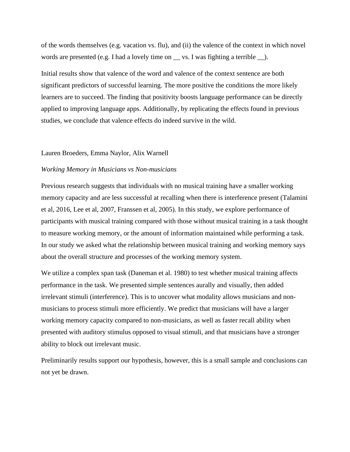of the words themselves (e.g. vacation vs. flu), and (ii) the valence of the context in which novel words are presented (e.g. I had a lovely time on \_\_\_ vs. I was fighting a terrible \_\_ ).

Initial results show that valence of the word and valence of the context sentence are both significant predictors of successful learning. The more positive the conditions the more likely learners are to succeed. The finding that positivity boosts language performance can be directly applied to improving language apps. Additionally, by replicating the effects found in previous studies, we conclude that valence effects do indeed survive in the wild.

#### Lauren Broeders, Emma Naylor, Alix Warnell

### *Working Memory in Musicians vs Non-musicians*

Previous research suggests that individuals with no musical training have a smaller working memory capacity and are less successful at recalling when there is interference present (Talamini et al, 2016, Lee et al, 2007, Franssen et al, 2005). In this study, we explore performance of participants with musical training compared with those without musical training in a task thought to measure working memory, or the amount of information maintained while performing a task. In our study we asked what the relationship between musical training and working memory says about the overall structure and processes of the working memory system.

We utilize a complex span task (Daneman et al. 1980) to test whether musical training affects performance in the task. We presented simple sentences aurally and visually, then added irrelevant stimuli (interference). This is to uncover what modality allows musicians and nonmusicians to process stimuli more efficiently. We predict that musicians will have a larger working memory capacity compared to non-musicians, as well as faster recall ability when presented with auditory stimulus opposed to visual stimuli, and that musicians have a stronger ability to block out irrelevant music.

Preliminarily results support our hypothesis, however, this is a small sample and conclusions can not yet be drawn.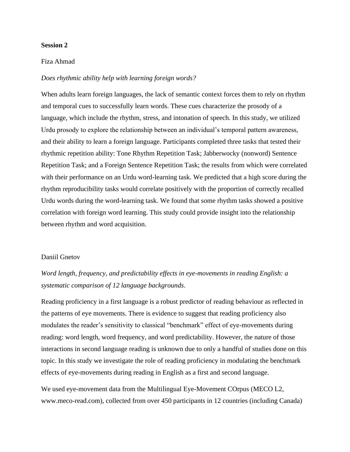# **Session 2**

### Fiza Ahmad

# *Does rhythmic ability help with learning foreign words?*

When adults learn foreign languages, the lack of semantic context forces them to rely on rhythm and temporal cues to successfully learn words. These cues characterize the prosody of a language, which include the rhythm, stress, and intonation of speech. In this study, we utilized Urdu prosody to explore the relationship between an individual's temporal pattern awareness, and their ability to learn a foreign language. Participants completed three tasks that tested their rhythmic repetition ability: Tone Rhythm Repetition Task; Jabberwocky (nonword) Sentence Repetition Task; and a Foreign Sentence Repetition Task; the results from which were correlated with their performance on an Urdu word-learning task. We predicted that a high score during the rhythm reproducibility tasks would correlate positively with the proportion of correctly recalled Urdu words during the word-learning task. We found that some rhythm tasks showed a positive correlation with foreign word learning. This study could provide insight into the relationship between rhythm and word acquisition.

# Daniil Gnetov

*Word length, frequency, and predictability effects in eye-movements in reading English: a systematic comparison of 12 language backgrounds*.

Reading proficiency in a first language is a robust predictor of reading behaviour as reflected in the patterns of eye movements. There is evidence to suggest that reading proficiency also modulates the reader's sensitivity to classical "benchmark" effect of eye-movements during reading: word length, word frequency, and word predictability. However, the nature of those interactions in second language reading is unknown due to only a handful of studies done on this topic. In this study we investigate the role of reading proficiency in modulating the benchmark effects of eye-movements during reading in English as a first and second language.

We used eye-movement data from the Multilingual Eye-Movement COrpus (MECO L2, www.meco-read.com), collected from over 450 participants in 12 countries (including Canada)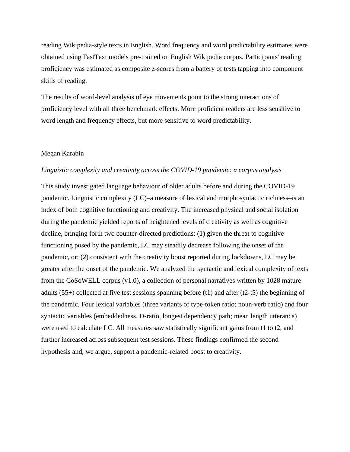reading Wikipedia-style texts in English. Word frequency and word predictability estimates were obtained using FastText models pre-trained on English Wikipedia corpus. Participants' reading proficiency was estimated as composite z-scores from a battery of tests tapping into component skills of reading.

The results of word-level analysis of eye movements point to the strong interactions of proficiency level with all three benchmark effects. More proficient readers are less sensitive to word length and frequency effects, but more sensitive to word predictability.

# Megan Karabin

#### *Linguistic complexity and creativity across the COVID-19 pandemic: a corpus analysis*

This study investigated language behaviour of older adults before and during the COVID-19 pandemic. Linguistic complexity (LC)–a measure of lexical and morphosyntactic richness–is an index of both cognitive functioning and creativity. The increased physical and social isolation during the pandemic yielded reports of heightened levels of creativity as well as cognitive decline, bringing forth two counter-directed predictions: (1) given the threat to cognitive functioning posed by the pandemic, LC may steadily decrease following the onset of the pandemic, or; (2) consistent with the creativity boost reported during lockdowns, LC may be greater after the onset of the pandemic. We analyzed the syntactic and lexical complexity of texts from the CoSoWELL corpus (v1.0), a collection of personal narratives written by 1028 mature adults  $(55+)$  collected at five test sessions spanning before (t1) and after  $(t2-t5)$  the beginning of the pandemic. Four lexical variables (three variants of type-token ratio; noun-verb ratio) and four syntactic variables (embeddedness, D-ratio, longest dependency path; mean length utterance) were used to calculate LC. All measures saw statistically significant gains from t1 to t2, and further increased across subsequent test sessions. These findings confirmed the second hypothesis and, we argue, support a pandemic-related boost to creativity.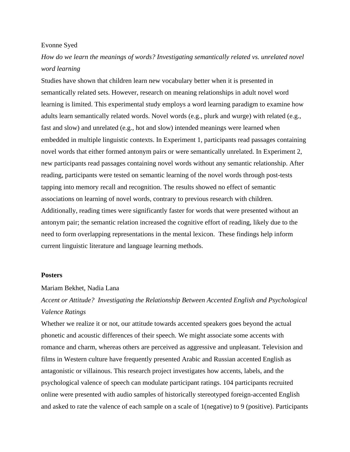### Evonne Syed

# *How do we learn the meanings of words? Investigating semantically related vs. unrelated novel word learning*

Studies have shown that children learn new vocabulary better when it is presented in semantically related sets. However, research on meaning relationships in adult novel word learning is limited. This experimental study employs a word learning paradigm to examine how adults learn semantically related words. Novel words (e.g., plurk and wurge) with related (e.g., fast and slow) and unrelated (e.g., hot and slow) intended meanings were learned when embedded in multiple linguistic contexts. In Experiment 1, participants read passages containing novel words that either formed antonym pairs or were semantically unrelated. In Experiment 2, new participants read passages containing novel words without any semantic relationship. After reading, participants were tested on semantic learning of the novel words through post-tests tapping into memory recall and recognition. The results showed no effect of semantic associations on learning of novel words, contrary to previous research with children. Additionally, reading times were significantly faster for words that were presented without an antonym pair; the semantic relation increased the cognitive effort of reading, likely due to the need to form overlapping representations in the mental lexicon. These findings help inform current linguistic literature and language learning methods.

#### **Posters**

### Mariam Bekhet, Nadia Lana

# *Accent or Attitude? Investigating the Relationship Between Accented English and Psychological Valence Ratings*

Whether we realize it or not, our attitude towards accented speakers goes beyond the actual phonetic and acoustic differences of their speech. We might associate some accents with romance and charm, whereas others are perceived as aggressive and unpleasant. Television and films in Western culture have frequently presented Arabic and Russian accented English as antagonistic or villainous. This research project investigates how accents, labels, and the psychological valence of speech can modulate participant ratings. 104 participants recruited online were presented with audio samples of historically stereotyped foreign-accented English and asked to rate the valence of each sample on a scale of 1(negative) to 9 (positive). Participants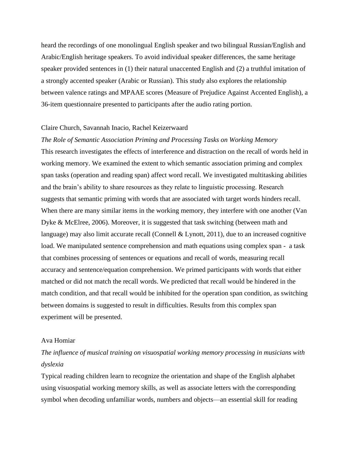heard the recordings of one monolingual English speaker and two bilingual Russian/English and Arabic/English heritage speakers. To avoid individual speaker differences, the same heritage speaker provided sentences in (1) their natural unaccented English and (2) a truthful imitation of a strongly accented speaker (Arabic or Russian). This study also explores the relationship between valence ratings and MPAAE scores (Measure of Prejudice Against Accented English), a 36-item questionnaire presented to participants after the audio rating portion.

#### Claire Church, Savannah Inacio, Rachel Keizerwaard

# *The Role of Semantic Association Priming and Processing Tasks on Working Memory*

This research investigates the effects of interference and distraction on the recall of words held in working memory. We examined the extent to which semantic association priming and complex span tasks (operation and reading span) affect word recall. We investigated multitasking abilities and the brain's ability to share resources as they relate to linguistic processing. Research suggests that semantic priming with words that are associated with target words hinders recall. When there are many similar items in the working memory, they interfere with one another (Van Dyke & McElree, 2006). Moreover, it is suggested that task switching (between math and language) may also limit accurate recall (Connell & Lynott, 2011), due to an increased cognitive load. We manipulated sentence comprehension and math equations using complex span - a task that combines processing of sentences or equations and recall of words, measuring recall accuracy and sentence/equation comprehension. We primed participants with words that either matched or did not match the recall words. We predicted that recall would be hindered in the match condition, and that recall would be inhibited for the operation span condition, as switching between domains is suggested to result in difficulties. Results from this complex span experiment will be presented.

# Ava Homiar

# *The influence of musical training on visuospatial working memory processing in musicians with dyslexia*

Typical reading children learn to recognize the orientation and shape of the English alphabet using visuospatial working memory skills, as well as associate letters with the corresponding symbol when decoding unfamiliar words, numbers and objects—an essential skill for reading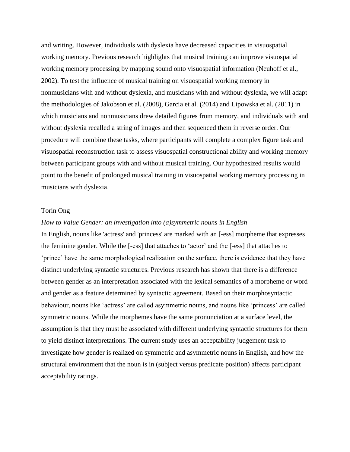and writing. However, individuals with dyslexia have decreased capacities in visuospatial working memory. Previous research highlights that musical training can improve visuospatial working memory processing by mapping sound onto visuospatial information (Neuhoff et al., 2002). To test the influence of musical training on visuospatial working memory in nonmusicians with and without dyslexia, and musicians with and without dyslexia, we will adapt the methodologies of Jakobson et al. (2008), Garcia et al. (2014) and Lipowska et al. (2011) in which musicians and nonmusicians drew detailed figures from memory, and individuals with and without dyslexia recalled a string of images and then sequenced them in reverse order. Our procedure will combine these tasks, where participants will complete a complex figure task and visuospatial reconstruction task to assess visuospatial constructional ability and working memory between participant groups with and without musical training. Our hypothesized results would point to the benefit of prolonged musical training in visuospatial working memory processing in musicians with dyslexia.

# Torin Ong

### *How to Value Gender: an investigation into (a)symmetric nouns in English*

In English, nouns like 'actress' and 'princess' are marked with an [-ess] morpheme that expresses the feminine gender. While the [-ess] that attaches to 'actor' and the [-ess] that attaches to 'prince' have the same morphological realization on the surface, there is evidence that they have distinct underlying syntactic structures. Previous research has shown that there is a difference between gender as an interpretation associated with the lexical semantics of a morpheme or word and gender as a feature determined by syntactic agreement. Based on their morphosyntactic behaviour, nouns like 'actress' are called asymmetric nouns, and nouns like 'princess' are called symmetric nouns. While the morphemes have the same pronunciation at a surface level, the assumption is that they must be associated with different underlying syntactic structures for them to yield distinct interpretations. The current study uses an acceptability judgement task to investigate how gender is realized on symmetric and asymmetric nouns in English, and how the structural environment that the noun is in (subject versus predicate position) affects participant acceptability ratings.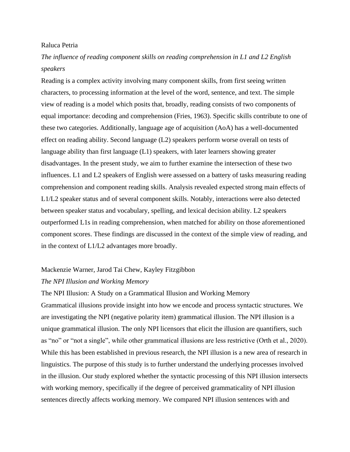## Raluca Petria

# *The influence of reading component skills on reading comprehension in L1 and L2 English speakers*

Reading is a complex activity involving many component skills, from first seeing written characters, to processing information at the level of the word, sentence, and text. The simple view of reading is a model which posits that, broadly, reading consists of two components of equal importance: decoding and comprehension (Fries, 1963). Specific skills contribute to one of these two categories. Additionally, language age of acquisition (AoA) has a well-documented effect on reading ability. Second language (L2) speakers perform worse overall on tests of language ability than first language (L1) speakers, with later learners showing greater disadvantages. In the present study, we aim to further examine the intersection of these two influences. L1 and L2 speakers of English were assessed on a battery of tasks measuring reading comprehension and component reading skills. Analysis revealed expected strong main effects of L1/L2 speaker status and of several component skills. Notably, interactions were also detected between speaker status and vocabulary, spelling, and lexical decision ability. L2 speakers outperformed L1s in reading comprehension, when matched for ability on those aforementioned component scores. These findings are discussed in the context of the simple view of reading, and in the context of L1/L2 advantages more broadly.

### Mackenzie Warner, Jarod Tai Chew, Kayley Fitzgibbon

### *The NPI Illusion and Working Memory*

The NPI Illusion: A Study on a Grammatical Illusion and Working Memory Grammatical illusions provide insight into how we encode and process syntactic structures. We are investigating the NPI (negative polarity item) grammatical illusion. The NPI illusion is a unique grammatical illusion. The only NPI licensors that elicit the illusion are quantifiers, such as "no" or "not a single", while other grammatical illusions are less restrictive (Orth et al., 2020). While this has been established in previous research, the NPI illusion is a new area of research in linguistics. The purpose of this study is to further understand the underlying processes involved in the illusion. Our study explored whether the syntactic processing of this NPI illusion intersects with working memory, specifically if the degree of perceived grammaticality of NPI illusion sentences directly affects working memory. We compared NPI illusion sentences with and